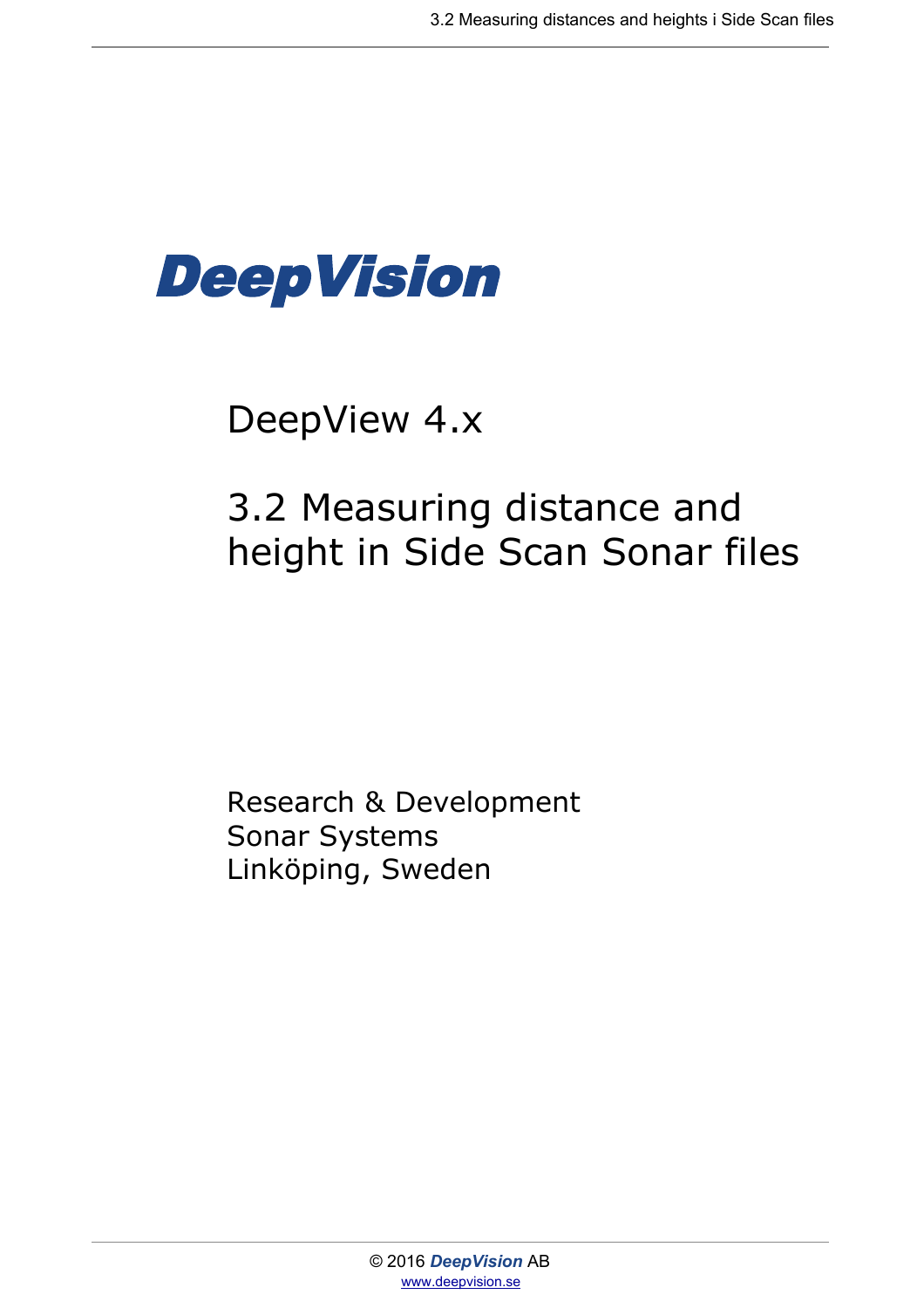

# DeepView 4.x

# 3.2 Measuring distance and height in Side Scan Sonar files

Research & Development Sonar Systems Linköping, Sweden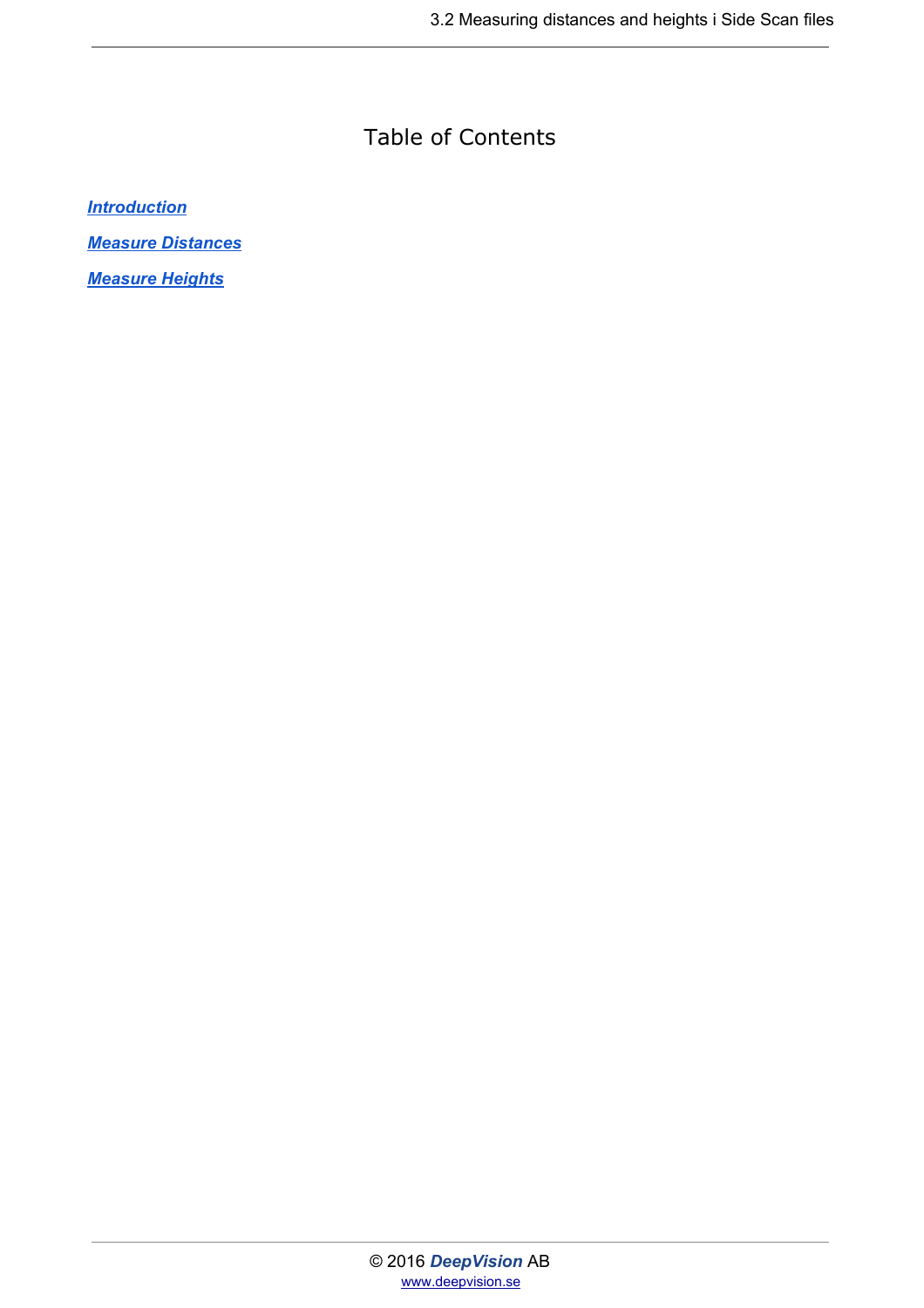#### Table of Contents

*[Introduction](#page-2-0)*

*[Measure Distances](#page-3-0)*

*[Measure Heights](#page-4-0)*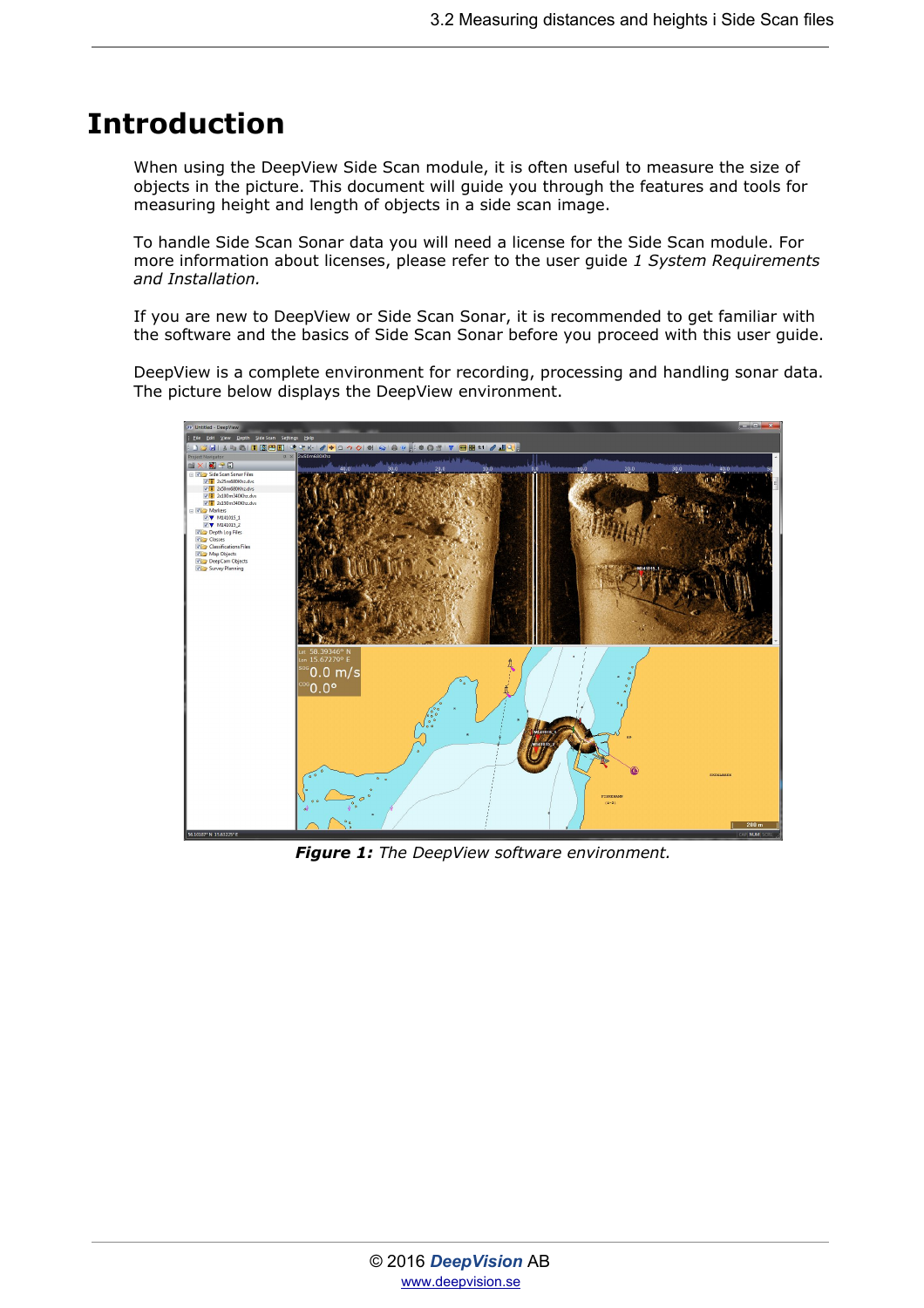## <span id="page-2-0"></span>**Introduction**

When using the DeepView Side Scan module, it is often useful to measure the size of objects in the picture. This document will guide you through the features and tools for measuring height and length of objects in a side scan image.

To handle Side Scan Sonar data you will need a license for the Side Scan module. For more information about licenses, please refer to the user guide *1 System Requirements and Installation.*

If you are new to DeepView or Side Scan Sonar, it is recommended to get familiar with the software and the basics of Side Scan Sonar before you proceed with this user guide.

DeepView is a complete environment for recording, processing and handling sonar data. The picture below displays the DeepView environment.



*Figure 1: The DeepView software environment.*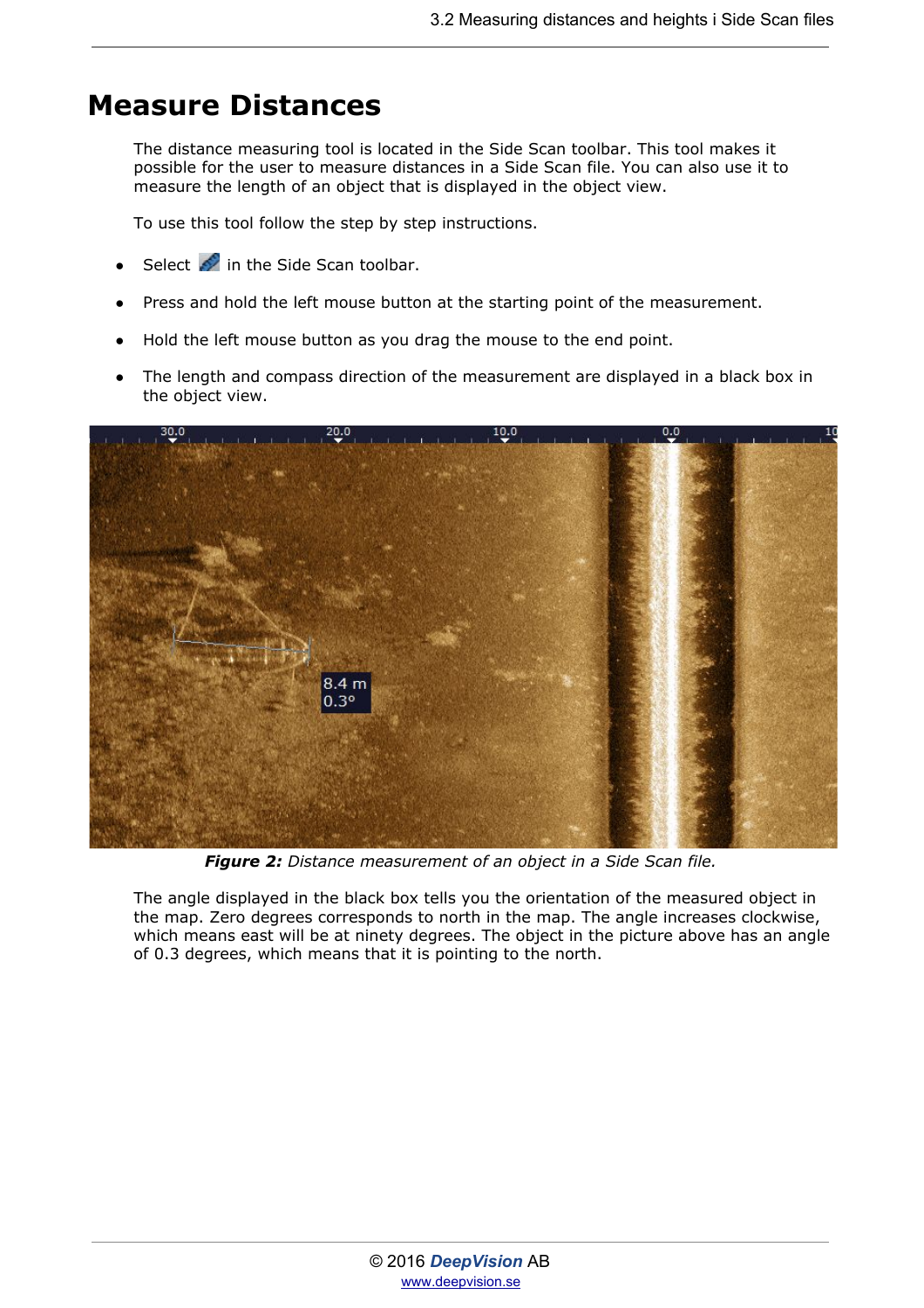### <span id="page-3-0"></span>**Measure Distances**

The distance measuring tool is located in the Side Scan toolbar. This tool makes it possible for the user to measure distances in a Side Scan file. You can also use it to measure the length of an object that is displayed in the object view.

To use this tool follow the step by step instructions.

- Select  $\bullet$  in the Side Scan toolbar.
- Press and hold the left mouse button at the starting point of the measurement.
- Hold the left mouse button as you drag the mouse to the end point.
- The length and compass direction of the measurement are displayed in a black box in the object view.



*Figure 2: Distance measurement of an object in a Side Scan file.*

The angle displayed in the black box tells you the orientation of the measured object in the map. Zero degrees corresponds to north in the map. The angle increases clockwise, which means east will be at ninety degrees. The object in the picture above has an angle of 0.3 degrees, which means that it is pointing to the north.